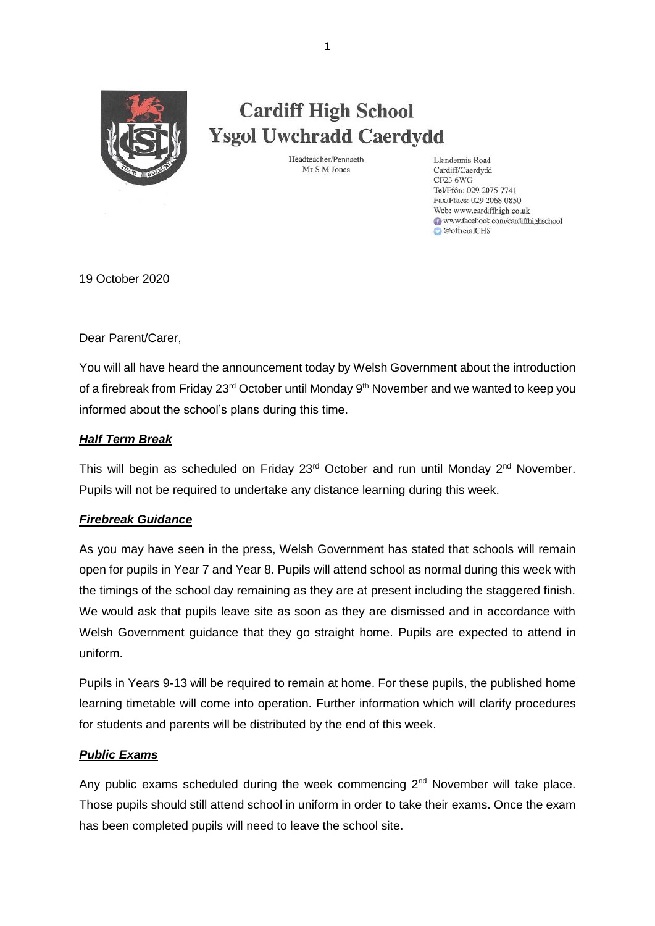

# **Cardiff High School Ysgol Uwchradd Caerdydd**

Headteacher/Pennaeth Mr S M Jones

Llandennis Road Cardiff/Caerdydd CF23 6WG Tel/Ffôn: 029 2075 7741 Fax/Ffacs: 029 2068 0850 Web: www.cardiffhigh.co.uk www.facebook.com/cardiffhighschool **@**officialCHS

19 October 2020

Dear Parent/Carer,

You will all have heard the announcement today by Welsh Government about the introduction of a firebreak from Friday 23<sup>rd</sup> October until Monday 9<sup>th</sup> November and we wanted to keep you informed about the school's plans during this time.

#### *Half Term Break*

This will begin as scheduled on Friday 23<sup>rd</sup> October and run until Monday 2<sup>nd</sup> November. Pupils will not be required to undertake any distance learning during this week.

### *Firebreak Guidance*

As you may have seen in the press, Welsh Government has stated that schools will remain open for pupils in Year 7 and Year 8. Pupils will attend school as normal during this week with the timings of the school day remaining as they are at present including the staggered finish. We would ask that pupils leave site as soon as they are dismissed and in accordance with Welsh Government guidance that they go straight home. Pupils are expected to attend in uniform.

Pupils in Years 9-13 will be required to remain at home. For these pupils, the published home learning timetable will come into operation. Further information which will clarify procedures for students and parents will be distributed by the end of this week.

#### *Public Exams*

Any public exams scheduled during the week commencing 2<sup>nd</sup> November will take place. Those pupils should still attend school in uniform in order to take their exams. Once the exam has been completed pupils will need to leave the school site.